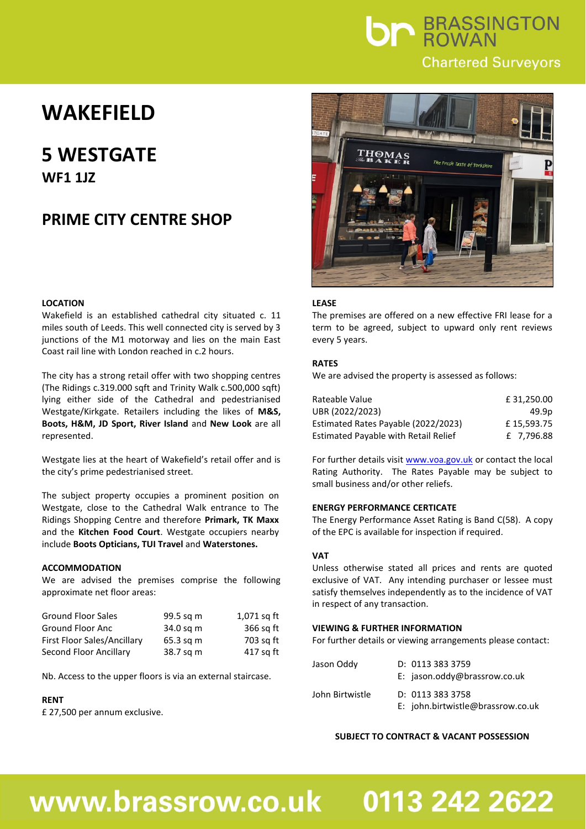

## **WAKEFIELD**

### **5 WESTGATE WF1 1JZ**

### **PRIME CITY CENTRE SHOP**

#### **LOCATION**

Wakefield is an established cathedral city situated c. 11 miles south of Leeds. This well connected city is served by 3 junctions of the M1 motorway and lies on the main East Coast rail line with London reached in c.2 hours.

The city has a strong retail offer with two shopping centres (The Ridings c.319.000 sqft and Trinity Walk c.500,000 sqft) lying either side of the Cathedral and pedestrianised Westgate/Kirkgate. Retailers including the likes of **M&S, Boots, H&M, JD Sport, River Island** and **New Look** are all represented.

Westgate lies at the heart of Wakefield's retail offer and is the city's prime pedestrianised street.

The subject property occupies a prominent position on Westgate, close to the Cathedral Walk entrance to The Ridings Shopping Centre and therefore **Primark, TK Maxx** and the **Kitchen Food Court**. Westgate occupiers nearby include **Boots Opticians, TUI Travel** and **Waterstones.**

#### **ACCOMMODATION**

We are advised the premises comprise the following approximate net floor areas:

| <b>Ground Floor Sales</b>   | 99.5 sq m | 1,071 sq ft |
|-----------------------------|-----------|-------------|
| Ground Floor Anc            | 34.0 sq m | 366 sq ft   |
| First Floor Sales/Ancillary | 65.3 sq m | 703 sg ft   |
| Second Floor Ancillary      | 38.7 sq m | 417 sq ft   |

Nb. Access to the upper floors is via an external staircase.

#### **RENT**

£ 27,500 per annum exclusive.



#### **LEASE**

The premises are offered on a new effective FRI lease for a term to be agreed, subject to upward only rent reviews every 5 years.

#### **RATES**

We are advised the property is assessed as follows:

| Rateable Value                              | £31.250.00 |
|---------------------------------------------|------------|
| UBR (2022/2023)                             | 49.9p      |
| Estimated Rates Payable (2022/2023)         | £15.593.75 |
| <b>Estimated Payable with Retail Relief</b> | £ 7.796.88 |

For further details visit [www.voa.gov.uk](http://www.voa.gov.uk/) or contact the local Rating Authority. The Rates Payable may be subject to small business and/or other reliefs.

#### **ENERGY PERFORMANCE CERTICATE**

The Energy Performance Asset Rating is Band C(58). A copy of the EPC is available for inspection if required.

#### **VAT**

Unless otherwise stated all prices and rents are quoted exclusive of VAT. Any intending purchaser or lessee must satisfy themselves independently as to the incidence of VAT in respect of any transaction.

#### **VIEWING & FURTHER INFORMATION**

For further details or viewing arrangements please contact:

| Jason Oddy      | D: 01133333759<br>E: jason.oddy@brassrow.co.uk      |
|-----------------|-----------------------------------------------------|
| John Birtwistle | D: 01133333758<br>E: john.birtwistle@brassrow.co.uk |

#### **SUBJECT TO CONTRACT & VACANT POSSESSION**

## www.brassrow.co.uk

# 0113 242 2622